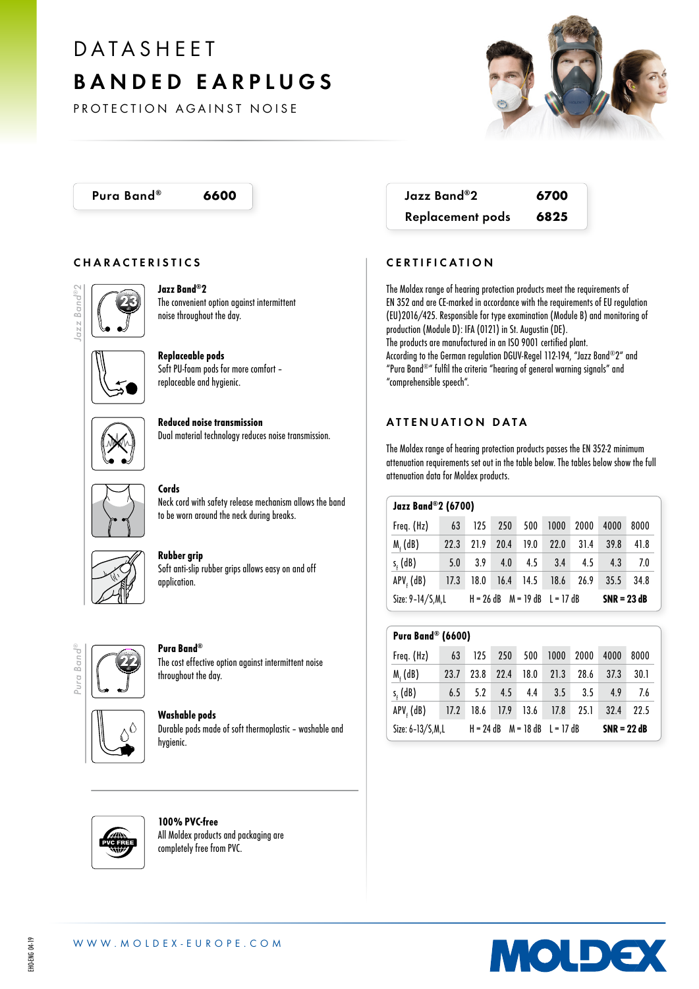# PROTECTION AGAI<br>
PROTECTION AGAI<br>
Pura Band® 66<br>
CHARACTERISTICS<br>
CHARACTERISTICS<br>
Pura Band® 66<br>
CHARACTERISTICS<br>
Protection of the convenient of<br>
Pura Band® Find (Replaceable protection)<br>
Replaceable protection of the co BANDED EARPLUGS

PROTECTION AGAINST NOISE

### CHARACTERISTICS



Jazz Band®2 The convenient option against intermittent noise throughout the day.

Replaceable pods Soft PU-foam pods for more comfort – replaceable and hygienic.



Reduced noise transmission Dual material technology reduces noise transmission.



Cords Neck cord with safety release mechanism allows the band to be worn around the neck during breaks.



### Rubber grip

Soft anti-slip rubber grips allows easy on and off application.



### Pura Band®

The cost effective option against intermittent noise throughout the day.



Washable pods Durable pods made of soft thermoplastic – washable and hygienic.

Pura Band® 6600 Jazz Band®2 6700 Replacement pods 6825

# CERTIFICATION

The Moldex range of hearing protection products meet the requirements of EN 352 and are CE-marked in accordance with the requirements of EU regulation (EU)2016/425. Responsible for type examination (Module B) and monitoring of production (Module D): IFA (0121) in St. Augustin (DE). The products are manufactured in an ISO 9001 certified plant. According to the German regulation DGUV-Regel 112-194, "Jazz Band®2" and "Pura Band®" fulfil the criteria "hearing of general warning signals" and "comprehensible speech".

### ATTENUATION DATA

The Moldex range of hearing protection products passes the EN 352-2 minimum attenuation requirements set out in the table below. The tables below show the full attenuation data for Moldex products.

| <b>Jazz Band®2 (6700)</b> |  |  |  |  |  |  |                                    |  |  |  |
|---------------------------|--|--|--|--|--|--|------------------------------------|--|--|--|
| Freq. (Hz)                |  |  |  |  |  |  | 63 125 250 500 1000 2000 4000 8000 |  |  |  |

| 1104.11121          | . |                                     |  |  | ILJ LJV JVV IVVV LVVV |                                         | .             |     |
|---------------------|---|-------------------------------------|--|--|-----------------------|-----------------------------------------|---------------|-----|
| $Mf$ (dB)           |   |                                     |  |  |                       | 22.3 21.9 20.4 19.0 22.0 31.4 39.8 41.8 |               |     |
| $s_{\epsilon}$ (dB) |   |                                     |  |  |                       | 5.0 3.9 4.0 4.5 3.4 4.5 4.3             |               | 7.0 |
| APV, (dB)           |   |                                     |  |  |                       | 17.3 18.0 16.4 14.5 18.6 26.9 35.5 34.8 |               |     |
| Size: 9-14/S,M,L    |   | $H = 26 dB$ $M = 19 dB$ $L = 17 dB$ |  |  |                       |                                         | $SNR = 23 dB$ |     |

# Pura Band® (6600)

| Freq. (Hz)       | 63   | 125       | 250 |  | 500 1000 2000                       |                             | 4000          | 8000 |  |
|------------------|------|-----------|-----|--|-------------------------------------|-----------------------------|---------------|------|--|
| $Mr$ (dB)        | 23.7 | 23.8 22.4 |     |  | $18.0$ 21.3                         | 28.6                        | 37.3          | 30.1 |  |
| $s_{r}$ (dB)     |      |           |     |  |                                     | 6.5 5.2 4.5 4.4 3.5 3.5 4.9 |               | 7.6  |  |
| APV, (dB)        |      |           |     |  | 17.2 18.6 17.9 13.6 17.8 25.1       |                             | 32.4          | 22.5 |  |
| Size: 6-13/S,M,L |      |           |     |  | $H = 24 dB$ $M = 18 dB$ $L = 17 dB$ |                             | $SNR = 22 dB$ |      |  |



100% PVC-free All Moldex products and packaging are completely free from PVC.